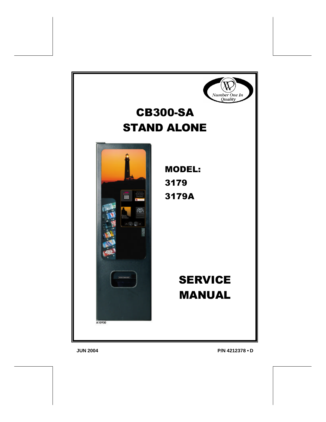

# CB300-SA STAND ALONE



MODEL: 3179 3179A

# **SERVICE** MANUAL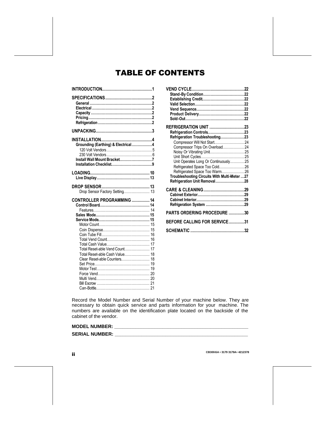## TABLE OF CONTENTS

| Grounding (Earthing) & Electrical4<br>Install Wall Mount Bracket7                                    |
|------------------------------------------------------------------------------------------------------|
|                                                                                                      |
| Drop Sensor Factory Setting 13                                                                       |
| CONTROLLER PROGRAMMING  14<br>16<br>Total Reset-able Vend Count 17<br>Total Reset-able Cash Value 18 |

| REFRIGERATION UNIT 23                        |  |
|----------------------------------------------|--|
| Refrigeration Controls23                     |  |
| Refrigeration Troubleshooting23              |  |
|                                              |  |
| Compressor Trips On Overload24               |  |
| Noisy Or Vibrating Unit 25                   |  |
|                                              |  |
| Unit Operates Long Or Continuously 25        |  |
| Refrigerated Space Too Cold 26               |  |
| Refrigerated Space Too Warm 26               |  |
| Troubleshooting Circuits With Multi-Meter 27 |  |
| Refrigeration Unit Removal28                 |  |
|                                              |  |
|                                              |  |
|                                              |  |
|                                              |  |
|                                              |  |
| PARTS ORDERING PROCEDURE 30                  |  |
| BEFORE CALLING FOR SERVICE31                 |  |
|                                              |  |

Record the Model Number and Serial Number of your machine below. They are necessary to obtain quick service and parts information for your machine. The numbers are available on the identification plate located on the backside of the cabinet of the vendor.

#### **MODEL NUMBER: \_\_\_\_\_\_\_\_\_\_\_\_\_\_\_\_\_\_\_\_\_\_\_\_\_\_\_\_\_\_\_\_\_\_\_\_\_\_\_\_\_\_\_\_\_\_\_\_\_\_**

#### **SERIAL NUMBER: \_\_\_\_\_\_\_\_\_\_\_\_\_\_\_\_\_\_\_\_\_\_\_\_\_\_\_\_\_\_\_\_\_\_\_\_\_\_\_\_\_\_\_\_\_\_\_\_\_\_**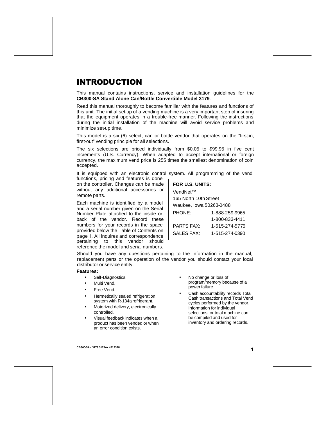## INTRODUCTION

This manual contains instructions, service and installation guidelines for the **CB300-SA Stand Alone Can/Bottle Convertible Model 3179**.

Read this manual thoroughly to become familiar with the features and functions of this unit. The initial set-up of a vending machine is a very important step of insuring that the equipment operates in a trouble-free manner. Following the instructions during the initial installation of the machine will avoid service problems and minimize set-up time.

This model is a six (6) select, can or bottle vendor that operates on the "first-in, first-out" vending principle for all selections.

The six selections are priced individually from \$0.05 to \$99.95 in five cent increments (U.S. Currency). When adapted to accept international or foreign currency, the maximum vend price is 255 times the smallest denomination of coin accepted.

It is equipped with an electronic control system. All programming of the vend

functions, pricing and features is done on the controller. Changes can be made without any additional accessories or remote parts.

Each machine is identified by a model and a serial number given on the Serial Number Plate attached to the inside or back of the vendor. Record these numbers for your records in the space provided below the Table of Contents on page ii. All inquires and correspondence pertaining to this vendor should reference the model and serial numbers.

| FOR U.S. UNITS:         |                |  |  |
|-------------------------|----------------|--|--|
| VendNet™                |                |  |  |
| 165 North 10th Street   |                |  |  |
| Waukee, lowa 50263-0488 |                |  |  |
| <b>PHONE:</b>           | 1-888-259-9965 |  |  |
|                         | 1-800-833-4411 |  |  |
| <b>PARTS FAX:</b>       | 1-515-274-5775 |  |  |
| SALES FAX:              | 1-515-274-0390 |  |  |

Should you have any questions pertaining to the information in the manual, replacement parts or the operation of the vendor you should contact your local distributor or service entity.

#### **Features:**

- Self-Diagnostics.
- Multi Vend.
- Free Vend.
- Hermetically sealed refrigeration system with R-134a refrigerant.
- Motorized delivery, electronically controlled.
- Visual feedback indicates when a product has been vended or when an error condition exists.
- No change or loss of program/memory because of a power failure.
- Cash accountability records Total Cash transactions and Total Vend cycles performed by the vendor. Information for individual selections, or total machine can be compiled and used for inventory and ordering records.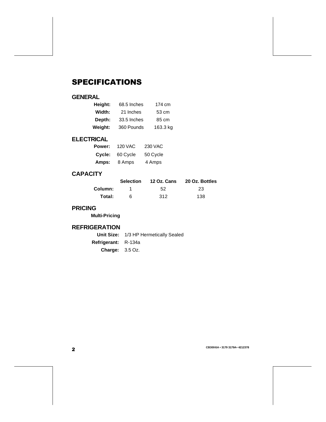## SPECIFICATIONS

## **GENERAL**

| Height: | 68.5 Inches | 174 cm   |  |
|---------|-------------|----------|--|
| Width:  | 21 Inches   | 53 cm    |  |
| Depth:  | 33.5 Inches | 85 cm    |  |
| Weight: | 360 Pounds  | 163.3 kg |  |

## **ELECTRICAL**

| Power: | <b>120 VAC</b> | <b>230 VAC</b> |
|--------|----------------|----------------|
| Cycle: | 60 Cycle       | 50 Cycle       |
| Amps:  | 8 Amps         | 4 Amps         |

## **CAPACITY**

|         | <b>Selection</b> | 12 Oz. Cans | 20 Oz. Bottles |
|---------|------------------|-------------|----------------|
| Column: |                  | 52          | 23             |
| Total:  |                  | 312         | 138            |

### **PRICING**

**Multi-Pricing**

### **REFRIGERATION**

|                                   | Unit Size: 1/3 HP Hermetically Sealed |
|-----------------------------------|---------------------------------------|
| <b>Refrigerant:</b> R-134a        |                                       |
| <b>Charge:</b> $3.5 \text{ Oz}$ . |                                       |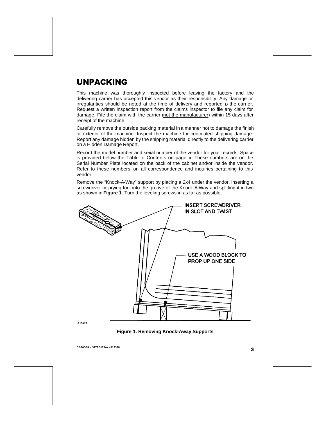## UNPACKING

This machine was thoroughly inspected before leaving the factory and the delivering carrier has accepted this vendor as their responsibility. Any damage or irregularities should be noted at the time of delivery and reported to the carrier. Request a written inspection report from the claims inspector to file any claim for damage. File the claim with the carrier (not the manufacturer) within 15 days after receipt of the machine.

Carefully remove the outside packing material in a manner not to damage the finish or exterior of the machine. Inspect the machine for concealed shipping damage. Report any damage hidden by the shipping material directly to the delivering carrier on a Hidden Damage Report.

Record the model number and serial number of the vendor for your records. Space is provided below the Table of Contents on page ii. These numbers are on the Serial Number Plate located on the back of the cabinet and/or inside the vendor. Refer to these numbers on all correspondence and inquiries pertaining to this vendor.

Remove the "Knock-A-Way" support by placing a 2x4 under the vendor, inserting a screwdriver or prying tool into the groove of the Knock-A-Way and splitting it in two as shown in **Figure 1**. Turn the leveling screws in as far as possible.



A10673

**Figure 1. Removing Knock-Away Supports**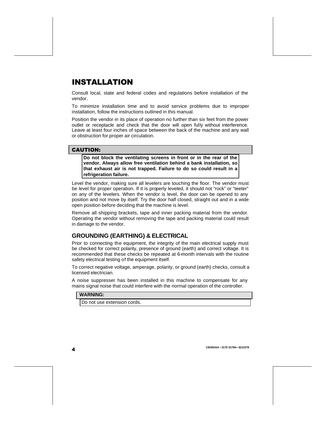## INSTALLATION

Consult local, state and federal codes and regulations before installation of the vendor.

To minimize installation time and to avoid service problems due to improper installation, follow the instructions outlined in this manual.

Position the vendor in its place of operation no further than six feet from the power outlet or receptacle and check that the door will open fully without interference. Leave at least four inches of space between the back of the machine and any wall or obstruction for proper air circulation.

#### CAUTION:

**Do not block the ventilating screens in front or in the rear of the vendor. Always allow free ventilation behind a bank installation, so that exhaust air is not trapped. Failure to do so could result in a refrigeration failure.**

Level the vendor, making sure all levelers are touching the floor. The vendor must be level for proper operation. If it is properly leveled, it should not "rock" or "teeter" on any of the levelers. When the vendor is level, the door can be opened to any position and not move by itself. Try the door half closed, straight out and in a wide open position before deciding that the machine is level.

Remove all shipping brackets, tape and inner packing material from the vendor. Operating the vendor without removing the tape and packing material could result in damage to the vendor.

## **GROUNDING (EARTHING) & ELECTRICAL**

Prior to connecting the equipment, the integrity of the main electrical supply must be checked for correct polarity, presence of ground (earth) and correct voltage. It is recommended that these checks be repeated at 6-month intervals with the routine safety electrical testing of the equipment itself.

To correct negative voltage, amperage, polarity, or ground (earth) checks, consult a licensed electrician.

A noise suppresser has been installed in this machine to compensate for any mains signal noise that could interfere with the normal operation of the controller.

#### **WARNING:**

Do not use extension cords.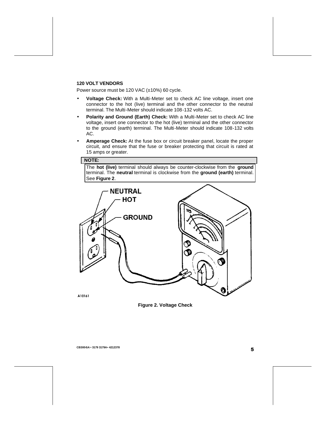#### **120 VOLT VENDORS**

Power source must be 120 VAC (±10%) 60 cycle.

- **Voltage Check:** With a Multi-Meter set to check AC line voltage, insert one connector to the hot (live) terminal and the other connector to the neutral terminal. The Multi-Meter should indicate 108-132 volts AC.
- **Polarity and Ground (Earth) Check:** With a Multi-Meter set to check AC line voltage, insert one connector to the hot (live) terminal and the other connector to the ground (earth) terminal. The Multi-Meter should indicate 108-132 volts AC.
- **Amperage Check:** At the fuse box or circuit breaker panel, locate the proper circuit, and ensure that the fuse or breaker protecting that circuit is rated at 15 amps or greater.

#### **NOTE:**

The **hot (live)** terminal should always be counter-clockwise from the **ground** terminal. The **neutral** terminal is clockwise from the **ground (earth)** terminal. See **Figure 2**.



A10161

**Figure 2. Voltage Check**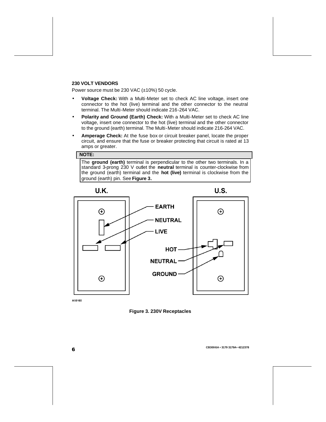#### **230 VOLT VENDORS**

Power source must be 230 VAC (±10%) 50 cycle.

- **Voltage Check:** With a Multi-Meter set to check AC line voltage, insert one connector to the hot (live) terminal and the other connector to the neutral terminal. The Multi-Meter should indicate 216-264 VAC.
- **Polarity and Ground (Earth) Check:** With a Multi-Meter set to check AC line voltage, insert one connector to the hot (live) terminal and the other connector to the ground (earth) terminal. The Multi-Meter should indicate 216-264 VAC.
- **Amperage Check:** At the fuse box or circuit breaker panel, locate the proper circuit, and ensure that the fuse or breaker protecting that circuit is rated at 13 amps or greater.

#### **NOTE:**

The **ground (earth)** terminal is perpendicular to the other two terminals. In a standard 3-prong 230 V outlet the **neutral** terminal is counter-clockwise from the ground (earth) terminal and the **hot (live)** terminal is clockwise from the ground (earth) pin. See **Figure 3.**



A10100

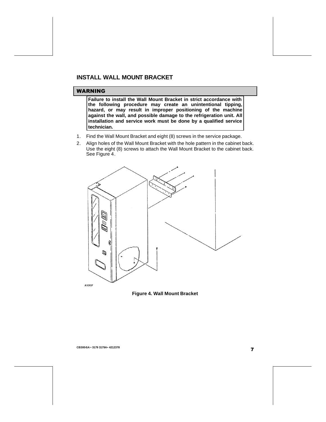### **INSTALL WALL MOUNT BRACKET**

#### WARNING

**Failure to install the Wall Mount Bracket in strict accordance with the following procedure may create an unintentional tipping, hazard, or may result in improper positioning of the machine against the wall, and possible damage to the refrigeration unit. All installation and service work must be done by a qualified service technician.**

- 1. Find the Wall Mount Bracket and eight (8) screws in the service package.
- 2. Align holes of the Wall Mount Bracket with the hole pattern in the cabinet back. Use the eight (8) screws to attach the Wall Mount Bracket to the cabinet back. See Figure 4.



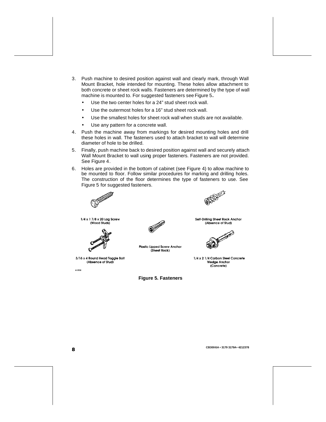- 3. Push machine to desired position against wall and clearly mark, through Wall Mount Bracket, hole intended for mounting. These holes allow attachment to both concrete or sheet rock walls. Fasteners are determined by the type of wall machine is mounted to. For suggested fasteners see Figure 5**.**
	- Use the two center holes for a 24" stud sheet rock wall.
	- Use the outermost holes for a 16" stud sheet rock wall.
	- Use the smallest holes for sheet rock wall when studs are not available.
	- Use any pattern for a concrete wall.
- 4. Push the machine away from markings for desired mounting holes and drill these holes in wall. The fasteners used to attach bracket to wall will determine diameter of hole to be drilled.
- 5. Finally, push machine back to desired position against wall and securely attach Wall Mount Bracket to wall using proper fasteners. Fasteners are not provided. See Figure 4.
- 6. Holes are provided in the bottom of cabinet (see Figure 4) to allow machine to be mounted to floor. Follow similar procedures for marking and drilling holes. The construction of the floor determines the type of fasteners to use. See Figure 5 for suggested fasteners.



1/4 x 1 7/8 x 20 Lag Screw (Wood Studs)



3/16 x 4 Round Head Toggle Bolt (Absence of Stud)

A10938



**Plastic Lipped Screw Anchor** (Sheet Rock)



Self-Drilling Sheet Rock Anchor (Absence of Stud)



1/4 x 2 1/4 Carbon Steel Concrete **Wedge Anchor** (Concrete)

**Figure 5. Fasteners**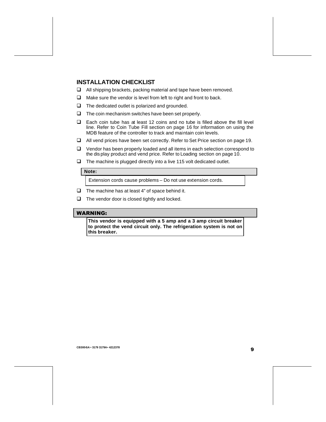## **INSTALLATION CHECKLIST**

- $\Box$  All shipping brackets, packing material and tape have been removed.
- $\Box$  Make sure the vendor is level from left to right and front to back.
- $\Box$  The dedicated outlet is polarized and grounded.
- $\Box$  The coin mechanism switches have been set properly.
- $\Box$  Each coin tube has at least 12 coins and no tube is filled above the fill level line. Refer to Coin Tube Fill section on page 16 for information on using the MDB feature of the controller to track and maintain coin levels.
- $\Box$  All vend prices have been set correctly. Refer to Set Price section on page 19.
- $\Box$  Vendor has been properly loaded and all items in each selection correspond to the dis play product and vend price. Refer to Loading section on page 10.
- $\Box$  The machine is plugged directly into a live 115 volt dedicated outlet.

#### **Note:**

Extension cords cause problems – Do not use extension cords.

- $\Box$  The machine has at least 4" of space behind it.
- $\Box$  The vendor door is closed tightly and locked.

#### WARNING:

**This vendor is equipped with a 5 amp and a 3 amp circuit breaker to protect the vend circuit only. The refrigeration system is not on this breaker.**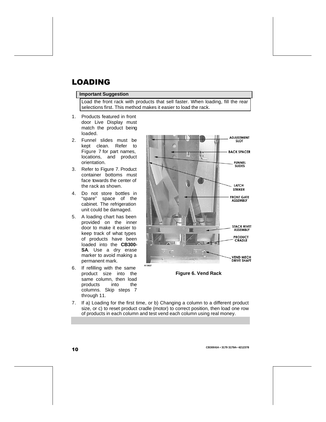## LOADING

#### **Important Suggestion**

Load the front rack with products that sell faster. When loading, fill the rear selections first. This method makes it easier to load the rack.

- 1. Products featured in front door Live Display must match the product being loaded.
- 2. Funnel slides must be kept clean. Refer to Figure 7 for part names, locations, and product orientation.
- 3. Refer to Figure 7. Product container bottoms must face towards the center of the rack as shown.
- 4. Do not store bottles in "spare" space of the cabinet. The refrigeration unit could be damaged.
- 5. A loading chart has been provided on the inner door to make it easier to keep track of what types of products have been loaded into the **CB300- SA**. Use a dry erase marker to avoid making a permanent mark.
- 6. If refilling with the same product size into the same column, then load<br>products into the products into the columns. Skip steps 7 through 11.





7. If a) Loading for the first time, or b) Changing a column to a different product size, or c) to reset product cradle (motor) to correct position, then load one row of products in each column and test vend each column using real money.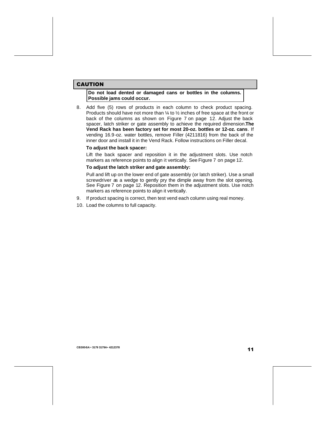#### CAUTION

**Do not load dented or damaged cans or bottles in the columns. Possible jams could occur.**

8. Add five (5) rows of products in each column to check product spacing. Products should have not more than ¼ to ½ inches of free space at the front or back of the columns as shown on Figure 7 on page 12. Adjust the back spacer, latch striker or gate assembly to achieve the required dimension.**The Vend Rack has been factory set for most 20-oz. bottles or 12-oz. cans**. If vending 16.9-oz. water bottles, remove Filler (4211816) from the back of the inner door and install it in the Vend Rack. Follow instructions on Filler decal.

#### **To adjust the back spacer:**

Lift the back spacer and reposition it in the adjustment slots. Use notch markers as reference points to align it vertically. See Figure 7 on page 12.

#### **To adjust the latch striker and gate assembly:**

Pull and lift up on the lower end of gate assembly (or latch striker). Use a small screwdriver as a wedge to gently pry the dimple away from the slot opening. See Figure 7 on page 12. Reposition them in the adjustment slots. Use notch markers as reference points to align it vertically.

- 9. If product spacing is correct, then test vend each column using real money.
- 10. Load the columns to full capacity.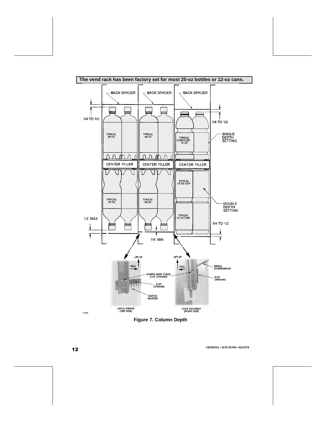

**Figure 7. Column Depth**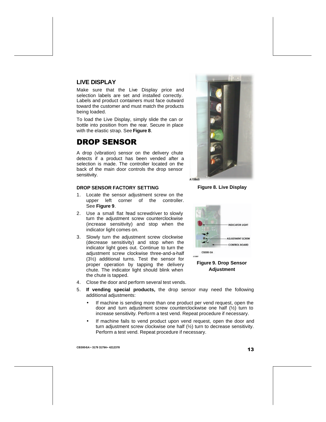## **LIVE DISPLAY**

Make sure that the Live Display price and selection labels are set and installed correctly. Labels and product containers must face outward toward the customer and must match the products being loaded.

To load the Live Display, simply slide the can or bottle into position from the rear. Secure in place with the elastic strap. See **Figure 8**.

## DROP SENSOR

A drop (vibration) sensor on the delivery chute detects if a product has been vended after a selection is made. The controller located on the back of the main door controls the drop sensor sensitivity.

#### **DROP SENSOR FACTORY SETTING**

- 1. Locate the sensor adjustment screw on the upper left corner of the controller. See **Figure 9**.
- 2. Use a small flat head screwdriver to slowly turn the adjustment screw counterclockwise (increase sensitivity) and stop when the indicator light comes on.
- 3. Slowly turn the adjustment screw clockwise (decrease sensitivity) and stop when the indicator light goes out. Continue to turn the adjustment screw clockwise three-and-a-half (3½) additional turns. Test the sensor for proper operation by tapping the delivery chute. The indicator light should blink when the chute is tapped.
- 4. Close the door and perform several test vends.

**A10845** 

**Figure 8. Live Display**



**Adjustment**

- 5. **If vending special products,** the drop sensor may need the following additional adjustments:
	- If machine is sending more than one product per vend request, open the door and turn adjustment screw counterclockwise one half (½) turn to increase sensitivity. Perform a test vend. Repeat procedure if necessary.
	- If machine fails to vend product upon vend request, open the door and turn adjustment screw clockwise one half (½) turn to decrease sensitivity. Perform a test vend. Repeat procedure if necessary.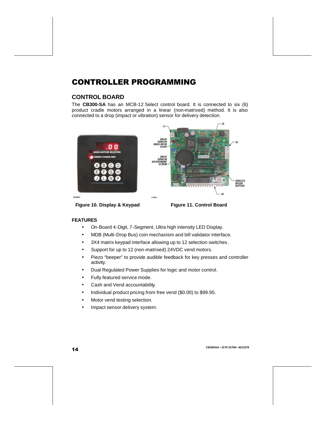## CONTROLLER PROGRAMMING

## **CONTROL BOARD**

The **CB300-SA** has an MCB-12 Select control board. It is connected to six (6) product cradle motors arranged in a linear (non-matrixed) method. It is also connected to a drop (impact or vibration) sensor for delivery detection.



**Figure 10. Display & Keypad Figure 11. Control Board**

#### **FEATURES**

- On-Board 4-Digit, 7-Segment, Ultra high intensity LED Display.
- MDB (Multi-Drop Bus) coin mechanism and bill validator interface.
- 3X4 matrix keypad interface allowing up to 12 selection switches .
- Support for up to 12 (non-matrixed) 24VDC vend motors.
- Piezo "beeper" to provide audible feedback for key presses and controller activity.
- Dual Regulated Power Supplies for logic and motor control.
- Fully featured service mode.
- Cash and Vend accountability.
- Individual product pricing from free vend (\$0.00) to \$99.95.
- Motor vend testing selection.
- Impact sensor delivery system.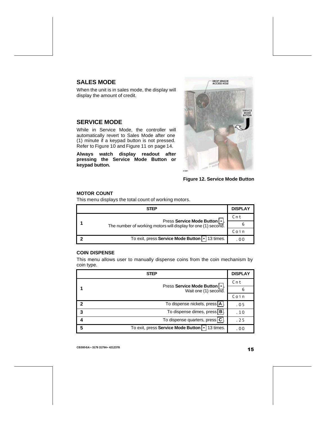## **SALES MODE**

When the unit is in sales mode, the display will display the amount of credit.

### **SERVICE MODE**

While in Service Mode, the controller will automatically revert to Sales Mode after one (1) minute if a keypad button is not pressed. Refer to Figure 10 and Figure 11 on page 14.

**Always watch display readout after pressing the Service Mode Button or keypad button.**





#### **MOTOR COUNT**

This menu displays the total count of working motors.

| <b>STEP</b>                                                                                | <b>DISPLAY</b> |
|--------------------------------------------------------------------------------------------|----------------|
|                                                                                            |                |
| Press Service Mode Button<br>The number of working motors will display for one (1) second. |                |
|                                                                                            |                |
| To exit, press Service Mode Button • 13 times.                                             |                |

#### **COIN DISPENSE**

This menu allows user to manually dispense coins from the coin mechanism by coin type.

| STEP                                                  |                                                     | <b>DISPLAY</b> |
|-------------------------------------------------------|-----------------------------------------------------|----------------|
| Press Service Mode Button   .<br>Wait one (1) second. | $Cn$ t                                              |                |
|                                                       |                                                     |                |
|                                                       | Coin                                                |                |
| 2                                                     | To dispense nickels, press   A  .                   | .05            |
| 3                                                     | To dispense dimes, press   B  .                     | .10            |
|                                                       | To dispense quarters, press C.                      | .25            |
| 5                                                     | To exit, press Service Mode Button   •<br>13 times. | . 00           |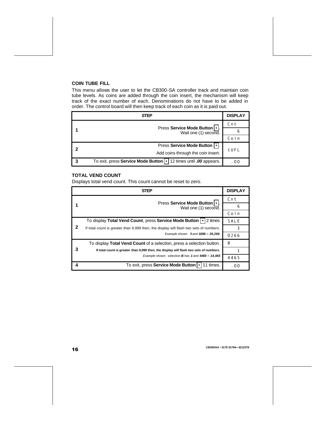#### **COIN TUBE FILL**

This menu allows the user to let the CB300-SA controller track and maintain coin tube levels. As coins are added through the coin insert, the mechanism will keep track of the exact number of each. Denominations do not have to be added in order. The control board will then keep track of each coin as it is paid out.

|   | STEP                                                                 | <b>DISPLAY</b> |
|---|----------------------------------------------------------------------|----------------|
|   | Press Service Mode Button   •<br>Wait one (1) second.                | Cnt            |
|   |                                                                      |                |
|   |                                                                      | Coin           |
|   | <b>Press Service Mode Button</b>                                     |                |
|   | Add coins through the coin insert.                                   | tUFL           |
| 3 | To exit, press Service Mode Button   •   12 times until .00 appears. | .00            |

#### **TOTAL VEND COUNT**

Displays total vend count. This count cannot be reset to zero.

| <b>STEP</b> |                                                                                        |        |  |
|-------------|----------------------------------------------------------------------------------------|--------|--|
|             |                                                                                        | $Cn$ t |  |
|             | Press Service Mode Button   .<br>Wait one (1) second.                                  | 6      |  |
|             |                                                                                        | Coin   |  |
|             | To display Total Vend Count, press Service Mode Button   •<br>2 times                  |        |  |
| 2           | If total count is greater than 9,999 then, the display will flash two sets of numbers. |        |  |
|             | Example shown: $3$ and $0266 = 30,266$ .                                               | 0266   |  |
|             | To display Total Vend Count of a selection, press a selection button.                  | B      |  |
| 3           | If total count is greater than 9,999 then, the display will flash two sets of numbers. |        |  |
|             | Example shown: selection <b>B</b> has 1 and $4465 = 14,465$                            | 4465   |  |
|             | To exit, press Service Mode Button   •<br>11 times.                                    | . 00   |  |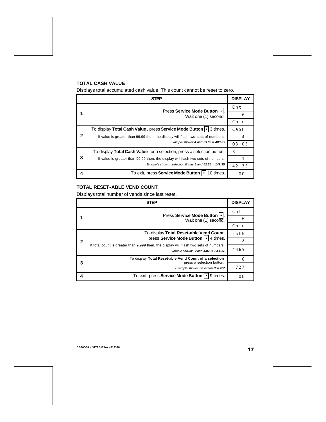### **TOTAL CASH VALUE**

Displays total accumulated cash value. This count cannot be reset to zero.

|   | <b>STEP</b>                                                                      | <b>DISPLAY</b> |
|---|----------------------------------------------------------------------------------|----------------|
|   | Press Service Mode Button   •  .                                                 | $Cn$ t         |
|   | Wait one (1) second.                                                             | 6              |
|   |                                                                                  | Coin           |
|   | To display Total Cash Value, press Service Mode Button  •   3 times.             |                |
|   | If value is greater than 99.99 then, the display will flash two sets of numbers. | 4              |
|   | Example shown: 4 and $03.05 = 403.05$                                            | 03.05          |
|   | To display Total Cash Value for a selection, press a selection button.           | B              |
|   | If value is greater than 99.99 then, the display will flash two sets of numbers. |                |
|   | Example shown: selection <b>B</b> has 1 and $42.35 = 142.35$                     | 42.35          |
| 4 | To exit, press Service Mode Button   •<br>10 times.                              | .00            |

#### **TOTAL RESET-ABLE VEND COUNT**

Displays total number of vends since last reset.

|   | <b>STEP</b>                                                                                                                        | <b>DISPLAY</b> |
|---|------------------------------------------------------------------------------------------------------------------------------------|----------------|
|   | Press Service Mode Button   •  .<br>Wait one (1) second.                                                                           | Cnt            |
|   |                                                                                                                                    | 6              |
|   |                                                                                                                                    | Coin           |
| 2 | To display Total Reset-able Vend Count,                                                                                            | $r$ S L E      |
|   | press Service Mode Button   • 4 times.                                                                                             |                |
|   | If total count is greater than 9,999 then, the display will flash two sets of numbers.<br>Example shown: $2$ and $4465 = 24,465$ . | 4465           |
|   | To display Total Reset-able Vend Count of a selection,<br>press a selection button.                                                |                |
|   | Example shown: selection $C = 727$                                                                                                 | 727            |
| 4 | 9 times.<br>To exit, press Service Mode Button                                                                                     | . 00           |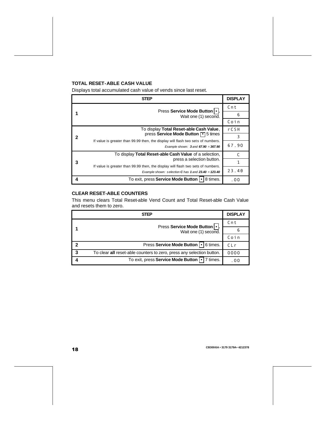#### **TOTAL RESET-ABLE CASH VALUE**

Displays total accumulated cash value of vends since last reset.

| <b>STEP</b> |                                                                                                                                                                    | <b>DISPLAY</b> |
|-------------|--------------------------------------------------------------------------------------------------------------------------------------------------------------------|----------------|
|             | Press Service Mode Button   •  .<br>Wait one (1) second.                                                                                                           | $Cn$ t         |
|             |                                                                                                                                                                    | 6              |
|             |                                                                                                                                                                    | Coin           |
|             | To display Total Reset-able Cash Value,                                                                                                                            | rCSH           |
| 2           | press Service Mode Button 1 5 times<br>If value is greater than 99.99 then, the display will flash two sets of numbers.<br>Example shown: $3$ and $67.90 = 367.90$ | 3              |
|             |                                                                                                                                                                    | 67.90          |
|             | To display Total Reset-able Cash Value of a selection,                                                                                                             |                |
| з           | press a selection button.                                                                                                                                          |                |
|             | If value is greater than 99.99 then, the display will flash two sets of numbers.<br>Example shown: selection C has 1 and $23.40 = 123.40$                          | 23.40          |
|             | To exit, press Service Mode Button   •<br>8 times.                                                                                                                 | . 00           |

#### **CLEAR RESET-ABLE COUNTERS**

This menu clears Total Reset-able Vend Count and Total Reset-able Cash Value and resets them to zero.

| <b>STEP</b> |                                                                       | <b>DISPLAY</b> |
|-------------|-----------------------------------------------------------------------|----------------|
|             | Press Service Mode Button   .  <br>Wait one (1) second.               | Cnt            |
|             |                                                                       |                |
|             |                                                                       | Coin           |
| 2           | 6 times.<br>Press Service Mode Button   •                             | CLr            |
| 3           | To clear all reset-able counters to zero, press any selection button. | 0000           |
|             | To exit, press Service Mode Button   •<br>7 times.                    | . 00           |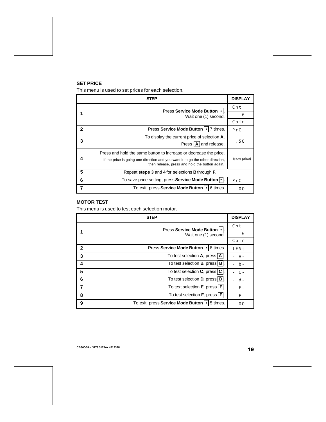#### **SET PRICE**

This menu is used to set prices for each selection.

|              | STEP                                                                                                                                                                                                  | <b>DISPLAY</b> |
|--------------|-------------------------------------------------------------------------------------------------------------------------------------------------------------------------------------------------------|----------------|
|              | Press Service Mode Button   .                                                                                                                                                                         | Cnt            |
|              | Wait one (1) second.                                                                                                                                                                                  | 6              |
|              |                                                                                                                                                                                                       | Coin           |
| $\mathbf{2}$ | Press Service Mode Button   •  <br>7 times.                                                                                                                                                           | PrC            |
| 3            | To display the current price of selection $A$ ,                                                                                                                                                       | .50            |
|              | Press   A   and release.                                                                                                                                                                              |                |
|              | Press and hold the same button to increase or decrease the price.<br>If the price is going one direction and you want it to go the other direction,<br>then release, press and hold the button again. | (new price)    |
| 5            | Repeat steps 3 and 4 for selections B through F.                                                                                                                                                      |                |
| 6            | To save price setting, press Service Mode Button  •  .                                                                                                                                                | PrC            |
| 7            | To exit, press Service Mode Button   •<br>6 times.                                                                                                                                                    | . 00           |

#### **MOTOR TEST**

This menu is used to test each selection motor.

|              | <b>STEP</b>                                          | <b>DISPLAY</b> |
|--------------|------------------------------------------------------|----------------|
|              | Press Service Mode Button   .                        |                |
|              | Wait one (1) second.                                 | 6              |
|              |                                                      | Coin           |
| $\mathbf{2}$ | Press Service Mode Button   •  <br>8 times.          | tESt           |
| 3            | To test selection A, press   A                       | $A -$          |
| 4            | To test selection <b>B</b> , press   <b>B</b>        | $b -$          |
| 5            | To test selection C, press   C                       | $\mathsf{C}$ - |
| 6            | To test selection D, press   D                       |                |
|              | To test selection E, press   E                       | E -            |
| 8            | To test selection F, press   F                       | $F -$          |
| 9            | To exit, press Service Mode Button   •  <br>5 times. | .00            |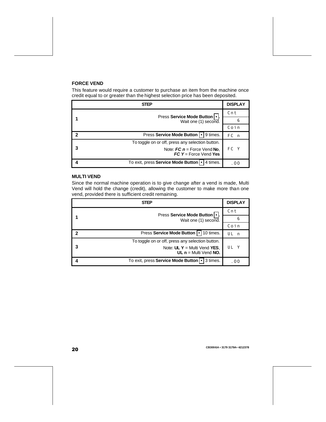#### **FORCE VEND**

This feature would require a customer to purchase an item from the machine once credit equal to or greater than the highest selection price has been deposited.

| STEP |                                                                                                               | <b>DISPLAY</b>  |
|------|---------------------------------------------------------------------------------------------------------------|-----------------|
|      | Press Service Mode Button   •  .                                                                              |                 |
|      | Wait one (1) second.                                                                                          |                 |
|      |                                                                                                               | Coin            |
|      | Press Service Mode Button   •   9 times.                                                                      | FC <sub>n</sub> |
|      | To toggle on or off, press any selection button.<br>Note: $FC n = Force Vend No$ ,<br>$FC Y = Force Vend Yes$ |                 |
| 3    |                                                                                                               |                 |
|      | To exit, press Service Mode Button   •<br>4 times.                                                            | . 00            |

#### **MULTI VEND**

Since the normal machine operation is to give change after a vend is made, Multi Vend will hold the change (credit), allowing the customer to make more than one vend, provided there is sufficient credit remaining.

| STEP |                                                            | <b>DISPLAY</b> |
|------|------------------------------------------------------------|----------------|
|      | Press Service Mode Button   •  .<br>Wait one (1) second.   | $Cn$ t         |
|      |                                                            | 6              |
|      |                                                            | Coin           |
| 2    | 10 times.<br><b>Press Service Mode Button   •</b>          | ШI<br>n,       |
|      | To toggle on or off, press any selection button.           |                |
| 3    | Note: $UL Y = Multi Vend YES$ ,<br>UL $n =$ Multi Vend NO. | UL             |
|      | To exit, press Service Mode Button   •<br>3 times.         | . 00           |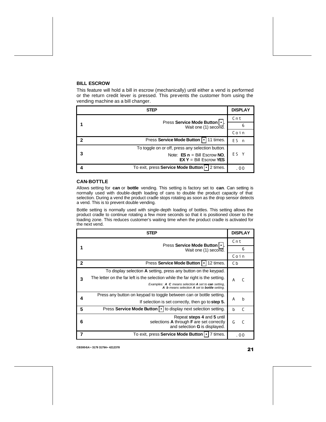#### **BILL ESCROW**

This feature will hold a bill in escrow (mechanically) until either a vend is performed or the return credit lever is pressed. This prevents the customer from using the vending machine as a bill changer.

| STEP |                                                             | <b>DISPLAY</b> |
|------|-------------------------------------------------------------|----------------|
|      |                                                             | $Cn$ t         |
|      | Press Service Mode Button   •  .<br>Wait one (1) second.    | 6              |
|      | Coin                                                        |                |
| 2    | Press Service Mode Button   •   11 times.                   | Fς<br>n        |
|      | To toggle on or off, press any selection button.            |                |
| 3    | Note: $ES n = Bill Escrow NO$ ,<br>$EX Y = Bill Escrow YES$ |                |
|      | To exit, press Service Mode Button   •  <br>2 times.        | . 00           |

#### **CAN-BOTTLE**

Allows setting for **can** or **bottle** vending. This setting is factory set to **can**. Can setting is normally used with double-depth loading of cans to double the product capacity of that selection. During a vend the product cradle stops rotating as soon as the drop sensor detects a vend. This is to prevent double vending.

Bottle setting is normally used with single-depth loading of bottles. This setting allows the product cradle to continue rotating a few more seconds so that it is positioned closer to the loading zone. This reduces customer's waiting time when the product cradle is activated for the next vend.

|   | <b>STEP</b>                                                                                         |                   |
|---|-----------------------------------------------------------------------------------------------------|-------------------|
|   | Press Service Mode Button   .                                                                       |                   |
|   | Wait one (1) second.                                                                                | 6                 |
|   |                                                                                                     | Coin              |
| 2 | 12 times.<br><b>Press Service Mode Button</b>                                                       | C b               |
|   | To display selection A setting, press any button on the keypad.                                     |                   |
| 3 | The letter on the far left is the selection while the far right is the setting.                     | $\epsilon$<br>A   |
|   | Examples: A C means selection A set to can setting,<br>A b means selection A set to bottle setting. |                   |
| 4 | Press any button on keypad to toggle between can or bottle setting.                                 | $\mathbf b$<br>A  |
|   | If selection is set correctly, then go to step 5.                                                   |                   |
| 5 | Press Service Mode Button   •   to display next selection setting.                                  | $\mathsf{C}$<br>b |
| 6 | Repeat steps 4 and 5 until                                                                          |                   |
|   | selections A through F are set correctly<br>and selection <b>G</b> is displayed.                    | G                 |
|   | To exit, press Service Mode Button   •<br>7 times.                                                  | . 00              |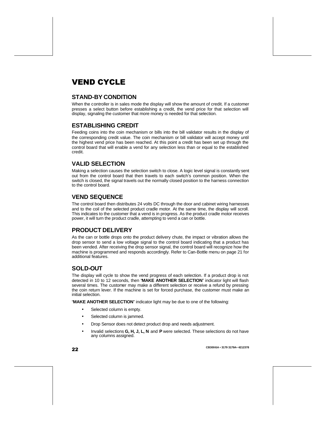## VEND CYCLE

## **STAND-BY CONDITION**

When the controller is in sales mode the display will show the amount of credit. If a customer presses a select button before establishing a credit, the vend price for that selection will display, signaling the customer that more money is needed for that selection.

### **ESTABLISHING CREDIT**

Feeding coins into the coin mechanism or bills into the bill validator results in the display of the corresponding credit value. The coin mechanism or bill validator will accept money until the highest vend price has been reached. At this point a credit has been set up through the control board that will enable a vend for any selection less than or equal to the established credit.

## **VALID SELECTION**

Making a selection causes the selection switch to close. A logic level signal is constantly sent out from the control board that then travels to each switch's common position. When the switch is closed, the signal travels out the normally closed position to the harness connection to the control board.

### **VEND SEQUENCE**

The control board then distributes 24 volts DC through the door and cabinet wiring harnesses and to the coil of the selected product cradle motor. At the same time, the display will scroll. This indicates to the customer that a vend is in progress. As the product cradle motor receives power, it will turn the product cradle, attempting to vend a can or bottle.

## **PRODUCT DELIVERY**

As the can or bottle drops onto the product delivery chute, the impact or vibration allows the drop sensor to send a low voltage signal to the control board indicating that a product has been vended. After receiving the drop sensor signal, the control board will recognize how the machine is programmed and responds accordingly. Refer to Can-Bottle menu on page 21 for additional features.

## **SOLD-OUT**

The display will cycle to show the vend progress of each selection. If a product drop is not detected in 10 to 12 seconds, then "**MAKE ANOTHER SELECTION**" indicator light will flash several times. The customer may make a different selection or receive a refund by pressing the coin return lever. If the machine is set for forced purchase, the customer must make an initial selection.

"**MAKE ANOTHER SELECTION**" indicator light may be due to one of the following:

- Selected column is empty.
- Selected column is jammed.
- Drop Sensor does not detect product drop and needs adjustment.
- Invalid selections **G, H, J, L, N** and **P** were selected. These selections do not have any columns assigned.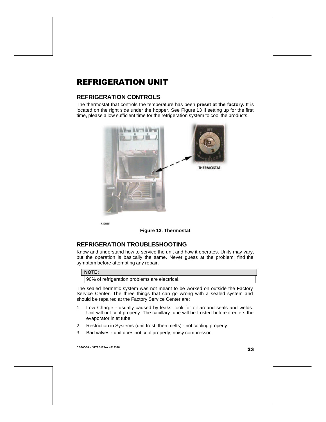## REFRIGERATION UNIT

## **REFRIGERATION CONTROLS**

The thermostat that controls the temperature has been **preset at the factory.** It is located on the right side under the hopper. See Figure 13 If setting up for the first time, please allow sufficient time for the refrigeration system to cool the products.



A10685



## **REFRIGERATION TROUBLESHOOTING**

Know and understand how to service the unit and how it operates. Units may vary, but the operation is basically the same. Never guess at the problem; find the symptom before attempting any repair.

#### **NOTE:**

90% of refrigeration problems are electrical.

The sealed hermetic system was not meant to be worked on outside the Factory Service Center. The three things that can go wrong with a sealed system and should be repaired at the Factory Service Center are:

- 1. Low Charge usually caused by leaks; look for oil around seals and welds. Unit will not cool properly. The capillary tube will be frosted before it enters the evaporator inlet tube.
- 2. Restriction in Systems (unit frost, then melts) not cooling properly.
- 3. Bad valves **-** unit does not cool properly; noisy compressor.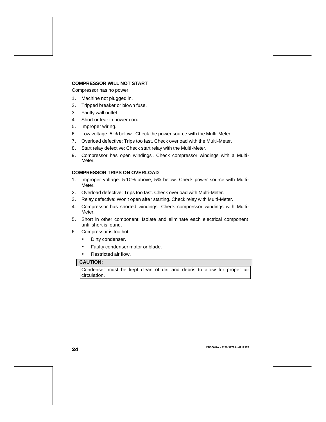#### **COMPRESSOR WILL NOT START**

Compressor has no power:

- 1. Machine not plugged in.
- 2. Tripped breaker or blown fuse.
- 3. Faulty wall outlet.
- 4. Short or tear in power cord.
- 5. Improper wiring.
- 6. Low voltage: 5 % below. Check the power source with the Multi-Meter.
- 7. Overload defective: Trips too fast. Check overload with the Multi-Meter.
- 8. Start relay defective: Check start relay with the Multi-Meter.
- 9. Compressor has open windings . Check compressor windings with a Multi-Meter.

#### **COMPRESSOR TRIPS ON OVERLOAD**

- 1. Improper voltage: 5-10% above, 5% below. Check power source with Multi-Meter.
- 2. Overload defective: Trips too fast. Check overload with Multi-Meter.
- 3. Relay defective: Won't open after starting. Check relay with Multi-Meter.
- 4. Compressor has shorted windings: Check compressor windings with Multi-Meter.
- 5. Short in other component: Isolate and eliminate each electrical component until short is found.
- 6. Compressor is too hot.
	- Dirty condenser.
	- Faulty condenser motor or blade.
	- Restricted air flow.

#### **CAUTION:**

Condenser must be kept clean of dirt and debris to allow for proper air circulation.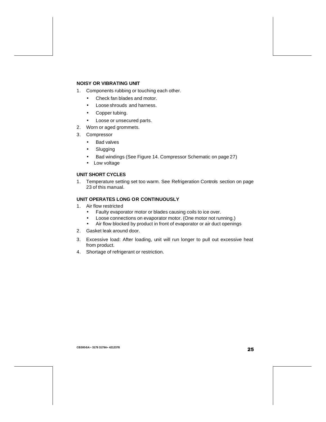#### **NOISY OR VIBRATING UNIT**

- 1. Components rubbing or touching each other.
	- Check fan blades and motor.
	- Loose shrouds and harness.
	- Copper tubing.
	- Loose or unsecured parts.
- 2. Worn or aged grommets.
- 3. Compressor
	- Bad valves
	- Slugging
	- Bad windings (See Figure 14. Compressor Schematic on page 27)
	- Low voltage

#### **UNIT SHORT CYCLES**

1. Temperature setting set too warm. See Refrigeration Controls section on page 23 of this manual.

#### **UNIT OPERATES LONG OR CONTINUOUSLY**

- 1. Air flow restricted
	- Faulty evaporator motor or blades causing coils to ice over.
	- Loose connections on evaporator motor. (One motor not running.)
	- Air flow blocked by product in front of evaporator or air duct openings
- 2. Gasket leak around door.
- 3. Excessive load: After loading, unit will run longer to pull out excessive heat from product.
- 4. Shortage of refrigerant or restriction.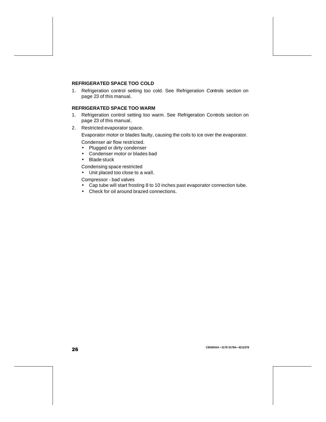#### **REFRIGERATED SPACE TOO COLD**

1. Refrigeration control setting too cold. See Refrigeration Controls section on page 23 of this manual.

#### **REFRIGERATED SPACE TOO WARM**

- 1. Refrigeration control setting too warm. See Refrigeration Controls section on page 23 of this manual.
- 2. Restricted evaporator space.

Evaporator motor or blades faulty, causing the coils to ice over the evaporator.

Condenser air flow restricted.

- Plugged or dirty condenser
- Condenser motor or blades bad
- Blade stuck

Condensing space restricted

• Unit placed too close to a wall.

Compressor - bad valves

- Cap tube will start frosting 8 to 10 inches past evaporator connection tube.
- Check for oil around brazed connections.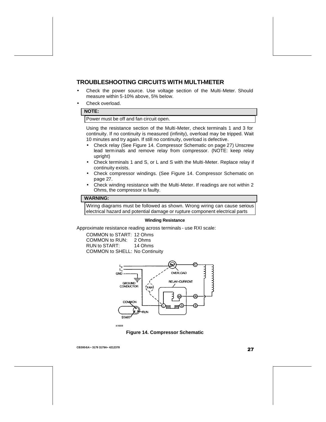### **TROUBLESHOOTING CIRCUITS WITH MULTI-METER**

- Check the power source. Use voltage section of the Multi-Meter. Should measure within 5-10% above, 5% below.
- Check overload.

#### **NOTE:**

Power must be off and fan circuit open.

Using the resistance section of the Multi-Meter, check terminals 1 and 3 for continuity. If no continuity is measured (infinity), overload may be tripped. Wait 10 minutes and try again. If still no continuity, overload is defective.

- Check relay (See Figure 14. Compressor Schematic on page 27) Unscrew lead term inals and remove relay from compressor. (NOTE: keep relay upright)
- Check terminals 1 and S, or L and S with the Multi-Meter. Replace relay if continuity exists.
- Check compressor windings. (See Figure 14. Compressor Schematic on page 27.
- Check winding resistance with the Multi-Meter. If readings are not within 2 Ohms, the compressor is faulty.

#### **WARNING:**

Wiring diagrams must be followed as shown. Wrong wiring can cause serious electrical hazard and potential damage or rupture component electrical parts

#### **Winding Resistance**

Approximate resistance reading across terminals - use RXI scale:

COMMON to START: 12 Ohms<br>COMMON to RUN: 2 Ohms COMMON to RUN: RUN to START: 14 Ohms COMMON to SHELL: No Continuity



A10233

**Figure 14. Compressor Schematic**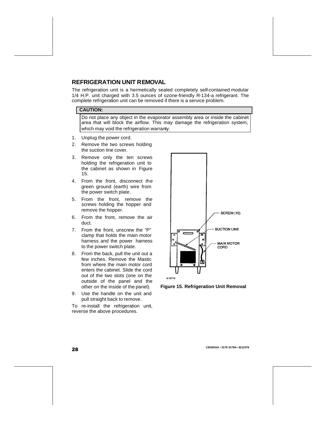## **REFRIGERATION UNIT REMOVAL**

The refrigeration unit is a hermetically sealed completely self-contained modular 1/4 H.P. unit charged with 3.5 ounces of ozone-friendly R-134-a refrigerant. The complete refrigeration unit can be removed if there is a service problem.

#### **CAUTION:**

Do not place any object in the evaporator assembly area or inside the cabinet area that will block the airflow. This may damage the refrigeration system, which may void the refrigeration warranty.

- 1. Unplug the power cord.
- 2. Remove the two screws holding the suction line cover.
- 3. Remove only the ten screws holding the refrigeration unit to the cabinet as shown in Figure 15.
- 4. From the front, disconnect the green ground (earth) wire from the power switch plate.
- 5. From the front, remove the screws holding the hopper and remove the hopper.
- 6. From the front, remove the air duct.
- 7. From the front, unscrew the "P" clamp that holds the main motor harness and the power harness to the power switch plate.
- 8. From the back, pull the unit out a few inches. Remove the Mastic from where the main motor cord enters the cabinet. Slide the cord out of the two slots (one on the outside of the panel and the other on the inside of the panel).
- 9. Use the handle on the unit and pull straight back to remove.

To re-install the refrigeration unit, reverse the above procedures.



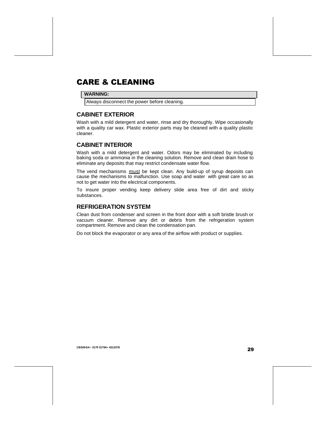## CARE & CLEANING

#### **WARNING:**

Always disconnect the power before cleaning.

### **CABINET EXTERIOR**

Wash with a mild detergent and water, rinse and dry thoroughly. Wipe occasionally with a quality car wax. Plastic exterior parts may be cleaned with a quality plastic cleaner.

### **CABINET INTERIOR**

Wash with a mild detergent and water. Odors may be eliminated by including baking soda or ammonia in the cleaning solution. Remove and clean drain hose to eliminate any deposits that may restrict condensate water flow.

The vend mechanisms must be kept clean. Any build-up of syrup deposits can cause the mechanisms to malfunction. Use soap and water with great care so as not to get water into the electrical components.

To insure proper vending keep delivery slide area free of dirt and sticky substances.

### **REFRIGERATION SYSTEM**

Clean dust from condenser and screen in the front door with a soft bristle brush or vacuum cleaner. Remove any dirt or debris from the refrigeration system compartment. Remove and clean the condensation pan.

Do not block the evaporator or any area of the airflow with product or supplies.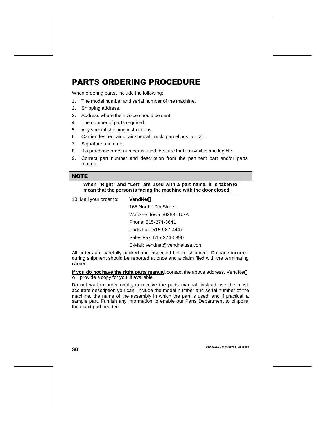## PARTS ORDERING PROCEDURE

When ordering parts, include the following:

- 1. The model number and serial number of the machine.
- 2. Shipping address.
- 3. Address where the invoice should be sent.
- 4. The number of parts required.
- 5. Any special shipping instructions.
- 6. Carrier desired: air or air special, truck, parcel post, or rail.
- 7. Signature and date.
- 8. If a purchase order number is used, be sure that it is visible and legible.
- 9. Correct part number and description from the pertinent part and/or parts manual.

#### **NOTE**

**When "Right" and "Left" are used with a part name, it is taken to mean that the person is facing the machine with the door closed.**

#### 10. Mail your order to: **VendNetÔ**

165 North 10th Street Waukee, Iowa 50263 - USA Phone: 515-274-3641 Parts Fax: 515-987-4447 Sales Fax: 515-274-0390 E-Mail: vendnet@vendnetusa.com

All orders are carefully packed and inspected before shipment. Damage incurred during shipment should be reported at once and a claim filed with the terminating carrier.

**If you do not have the right parts manual,** contact the above address. VendNet<sup>M</sup> will provide a copy for you, if available.

Do not wait to order until you receive the parts manual; instead use the most accurate description you can. Include the model number and serial number of the machine, the name of the assembly in which the part is used, and if practical, a sample part. Furnish any information to enable our Parts Department to pinpoint the exact part needed.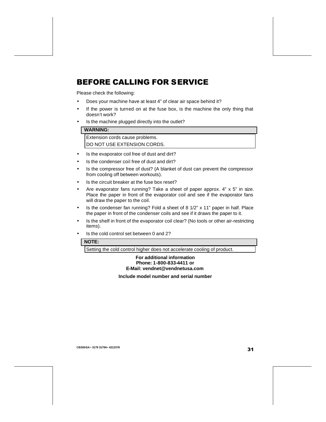## BEFORE CALLING FOR SERVICE

Please check the following:

- Does your machine have at least 4" of clear air space behind it?
- If the power is turned on at the fuse box, is the machine the only thing that doesn't work?
- Is the machine plugged directly into the outlet?

#### **WARNING:**

Extension cords cause problems.

DO NOT USE EXTENSION CORDS.

- Is the evaporator coil free of dust and dirt?
- Is the condenser coil free of dust and dirt?
- Is the compressor free of dust? (A blanket of dust can prevent the compressor from cooling off between workouts).
- Is the circuit breaker at the fuse box reset?
- Are evaporator fans running? Take a sheet of paper approx.  $4" \times 5"$  in size. Place the paper in front of the evaporator coil and see if the evaporator fans will draw the paper to the coil.
- Is the condenser fan running? Fold a sheet of 8 1/2" x 11" paper in half. Place the paper in front of the condenser coils and see if it draws the paper to it.
- Is the shelf in front of the evaporator coil clear? (No tools or other air-restricting items).
- Is the cold control set between 0 and 2?

#### **NOTE:**

Setting the cold control higher does not accelerate cooling of product.

#### **For additional information Phone: 1-800-833-4411 or E-Mail: vendnet@vendnetusa.com**

#### **Include model number and serial number**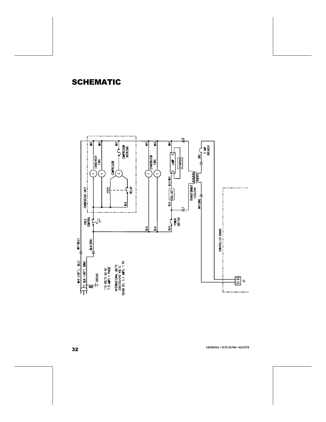## SCHEMATIC

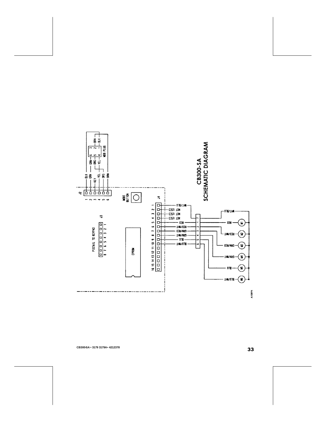